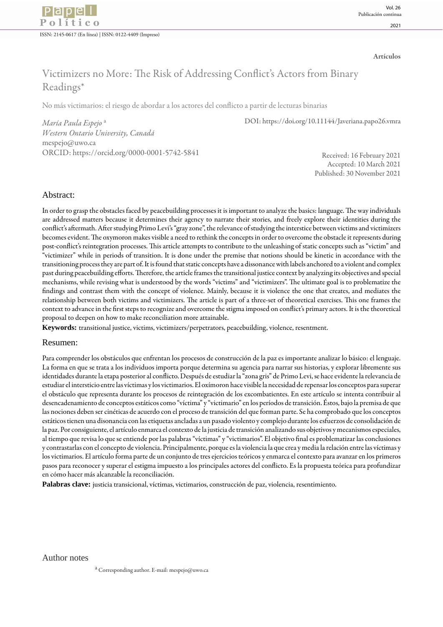

ISSN: 2145-0617 (En línea) | ISSN: 0122-4409 (Impreso)

Artículos

# Victimizers no More: The Risk of Addressing Conflict's Actors from Binary Readings[\\*](#page-12-0)

No más victimarios: el riesgo de abordar a los actores del conflicto a partir de lecturas binarias

*María Paula Espejo* [a](#page-0-0) *Western Ontario University, Canadá* mespejo@uwo.ca ORCID: <https://orcid.org/0000-0001-5742-5841> DOI: <https://doi.org/10.11144/Javeriana.papo26.vmra>

Received: 16 February 2021 Accepted: 10 March 2021 Published: 30 November 2021

#### Abstract:

In order to grasp the obstacles faced by peacebuilding processes it is important to analyze the basics: language. The way individuals are addressed matters because it determines their agency to narrate their stories, and freely explore their identities during the conflict's aftermath. After studying Primo Levi's "gray zone", the relevance of studying the interstice between victims and victimizers becomes evident. The oxymoron makes visible a need to rethink the concepts in order to overcome the obstacle it represents during post-conflict's reintegration processes. This article attempts to contribute to the unleashing of static concepts such as "victim" and "victimizer" while in periods of transition. It is done under the premise that notions should be kinetic in accordance with the transitioning process they are part of. It is found that static concepts have a dissonance with labels anchored to a violent and complex past during peacebuilding efforts. Therefore, the article frames the transitional justice context by analyzing its objectives and special mechanisms, while revising what is understood by the words "victims" and "victimizers". The ultimate goal is to problematize the findings and contrast them with the concept of violence. Mainly, because it is violence the one that creates, and mediates the relationship between both victims and victimizers. The article is part of a three-set of theoretical exercises. This one frames the context to advance in the first steps to recognize and overcome the stigma imposed on conflict's primary actors. It is the theoretical proposal to deepen on how to make reconciliation more attainable.

**Keywords:** transitional justice, victims, victimizers/perpetrators, peacebuilding, violence, resentment.

#### Resumen:

Para comprender los obstáculos que enfrentan los procesos de construcción de la paz es importante analizar lo básico: el lenguaje. La forma en que se trata a los individuos importa porque determina su agencia para narrar sus historias, y explorar libremente sus identidades durante la etapa posterior al conflicto. Después de estudiar la "zona gris" de Primo Levi, se hace evidente la relevancia de estudiar el intersticio entre las víctimas y los victimarios. El oxímoron hace visible la necesidad de repensar los conceptos para superar el obstáculo que representa durante los procesos de reintegración de los excombatientes. En este artículo se intenta contribuir al desencadenamiento de conceptos estáticos como "víctima" y "victimario" en los períodos de transición. Éstos, bajo la premisa de que las nociones deben ser cinéticas de acuerdo con el proceso de transición del que forman parte. Se ha comprobado que los conceptos estáticos tienen una disonancia con las etiquetas ancladas a un pasado violento y complejo durante los esfuerzos de consolidación de la paz. Por consiguiente, el artículo enmarca el contexto de la justicia de transición analizando sus objetivos y mecanismos especiales, al tiempo que revisa lo que se entiende por las palabras "víctimas" y "victimarios". El objetivo final es problematizar las conclusiones y contrastarlas con el concepto de violencia. Principalmente, porque es la violencia la que crea y media la relación entre las víctimas y los victimarios. El artículo forma parte de un conjunto de tres ejercicios teóricos y enmarca el contexto para avanzar en los primeros pasos para reconocer y superar el estigma impuesto a los principales actores del conflicto. Es la propuesta teórica para profundizar en cómo hacer más alcanzable la reconciliación.

**Palabras clave:** justicia transicional, víctimas, victimarios, construcción de paz, violencia, resentimiento.

<span id="page-0-0"></span>a Corresponding author. E-mail: mespejo@uwo.ca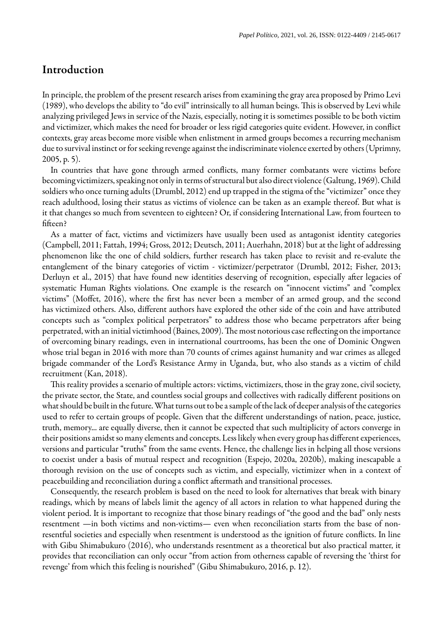## Introduction

In principle, the problem of the present research arises from examining the gray area proposed by Primo [Levi](#page-11-0) [\(1989\)](#page-11-0), who develops the ability to "do evil" intrinsically to all human beings. This is observed by Levi while analyzing privileged Jews in service of the Nazis, especially, noting it is sometimes possible to be both victim and victimizer, which makes the need for broader or less rigid categories quite evident. However, in conflict contexts, gray areas become more visible when enlistment in armed groups becomes a recurring mechanism due to survival instinct or for seeking revenge against the indiscriminate violence exerted by others [\(Uprimny,](#page-11-1) [2005](#page-11-1), p. 5).

In countries that have gone through armed conflicts, many former combatants were victims before becoming victimizers, speaking not only in terms of structural but also direct violence [\(Galtung,](#page-10-0) 1969). Child soldiers who once turning adults ([Drumbl,](#page-10-1) 2012) end up trapped in the stigma of the "victimizer" once they reach adulthood, losing their status as victims of violence can be taken as an example thereof. But what is it that changes so much from seventeen to eighteen? Or, if considering International Law, from fourteen to fifteen?

As a matter of fact, victims and victimizers have usually been used as antagonist identity categories ([Campbell,](#page-10-2) 2011; [Fattah,](#page-10-3) 1994; [Gross,](#page-10-4) 2012; [Deutsch,](#page-10-5) 2011; [Auerhahn,](#page-10-6) 2018) but at the light of addressing phenomenon like the one of child soldiers, further research has taken place to revisit and re-evalute the entanglement of the binary categories of victim - victimizer/perpetrator [\(Drumbl,](#page-10-1) 2012; [Fisher,](#page-10-7) 2013; [Derluyn](#page-10-8) et al., 2015) that have found new identities deserving of recognition, especially after legacies of systematic Human Rights violations. One example is the research on "innocent victims" and "complex victims" ([Moffet,](#page-11-2) 2016), where the first has never been a member of an armed group, and the second has victimized others. Also, different authors have explored the other side of the coin and have attributed concepts such as "complex political perpetrators" to address those who became perpetrators after being perpetrated, with an initial victimhood [\(Baines,](#page-10-9) 2009). The most notorious case reflecting on the importance of overcoming binary readings, even in international courtrooms, has been the one of Dominic Ongwen whose trial began in 2016 with more than 70 counts of crimes against humanity and war crimes as alleged brigade commander of the Lord's Resistance Army in Uganda, but, who also stands as a victim of child recruitment [\(Kan, 2018\)](#page-11-3).

This reality provides a scenario of multiple actors: victims, victimizers, those in the gray zone, civil society, the private sector, the State, and countless social groups and collectives with radically different positions on what should be built in the future. What turns out to be a sample of the lack of deeper analysis of the categories used to refer to certain groups of people. Given that the different understandings of nation, peace, justice, truth, memory... are equally diverse, then it cannot be expected that such multiplicity of actors converge in their positions amidst so many elements and concepts. Less likely when every group has different experiences, versions and particular "truths" from the same events. Hence, the challenge lies in helping all those versions to coexist under a basis of mutual respect and recognition ([Espejo,](#page-10-10) 2020a, [2020b\)](#page-10-11), making inescapable a thorough revision on the use of concepts such as victim, and especially, victimizer when in a context of peacebuilding and reconciliation during a conflict aftermath and transitional processes.

Consequently, the research problem is based on the need to look for alternatives that break with binary readings, which by means of labels limit the agency of all actors in relation to what happened during the violent period. It is important to recognize that those binary readings of "the good and the bad" only nests resentment —in both victims and non-victims— even when reconciliation starts from the base of nonresentful societies and especially when resentment is understood as the ignition of future conflicts. In line with Gibu [Shimabukuro](#page-10-12) (2016), who understands resentment as a theoretical but also practical matter, it provides that reconciliation can only occur "from action from otherness capable of reversing the 'thirst for revenge' from which this feeling is nourished" (Gibu [Shimabukuro,](#page-10-12) 2016, p. 12).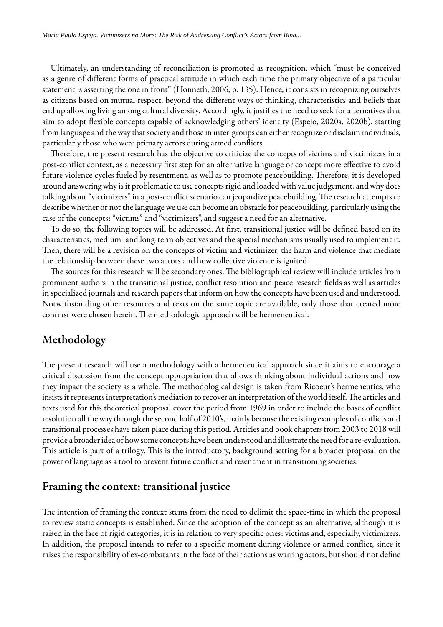Ultimately, an understanding of reconciliation is promoted as recognition, which "must be conceived as a genre of different forms of practical attitude in which each time the primary objective of a particular statement is asserting the one in front" ([Honneth,](#page-11-4) 2006, p. 135). Hence, it consists in recognizing ourselves as citizens based on mutual respect, beyond the different ways of thinking, characteristics and beliefs that end up allowing living among cultural diversity. Accordingly, it justifies the need to seek for alternatives that aim to adopt flexible concepts capable of acknowledging others' identity ([Espejo,](#page-10-10) 2020a, [2020b](#page-10-11)), starting from language and the way that society and those in inter-groups can either recognize or disclaim individuals, particularly those who were primary actors during armed conflicts.

Therefore, the present research has the objective to criticize the concepts of victims and victimizers in a post-conflict context, as a necessary first step for an alternative language or concept more effective to avoid future violence cycles fueled by resentment, as well as to promote peacebuilding. Therefore, it is developed around answering why is it problematic to use concepts rigid and loaded with value judgement, and why does talking about "victimizers" in a post-conflict scenario can jeopardize peacebuilding. The research attempts to describe whether or not the language we use can become an obstacle for peacebuilding, particularly using the case of the concepts: "victims" and "victimizers", and suggest a need for an alternative.

To do so, the following topics will be addressed. At first, transitional justice will be defined based on its characteristics, medium-and long-term objectivesand the special mechanisms usually used to implement it. Then, there will be a revision on the concepts of victim and victimizer, the harm and violence that mediate the relationship between these two actors and how collective violence is ignited.

The sources for this research will be secondary ones. The bibliographical review will include articles from prominent authors in the transitional justice, conflict resolution and peace research fields as well as articles in specialized journals and research papers that inform on how the concepts have been used and understood. Notwithstanding other resources and texts on the same topic are available, only those that created more contrast were chosen herein. The methodologic approach will be hermeneutical.

## Methodology

The present research will use a methodology with a hermeneutical approach since it aims to encourage a critical discussion from the concept appropriation that allows thinking about individual actions and how they impact the society as a whole. The methodological design is taken from Ricoeur's hermeneutics, who insists it represents interpretation's mediation to recover an interpretation of the world itself. The articles and texts used for this theoretical proposal cover the period from 1969 in order to include the bases of conflict resolution all the way through the second half of 2010's, mainly because the existing examples of conflicts and transitional processes have taken place during this period. Articles and book chapters from 2003 to 2018 will provide a broader idea of how some concepts have been understood and illustrate the need for a re-evaluation. This article is part of a trilogy. This is the introductory, background setting for a broader proposal on the power of language as a tool to prevent future conflict and resentment in transitioning societies.

## Framing the context: transitional justice

The intention of framing the context stems from the need to delimit the space-time in which the proposal to review static concepts is established. Since the adoption of the concept as an alternative, although it is raised in the face of rigid categories, it is in relation to very specific ones: victims and, especially, victimizers. In addition, the proposal intends to refer to a specific moment during violence or armed conflict, since it raises the responsibility of ex-combatants in the face of their actions as warring actors, but should not define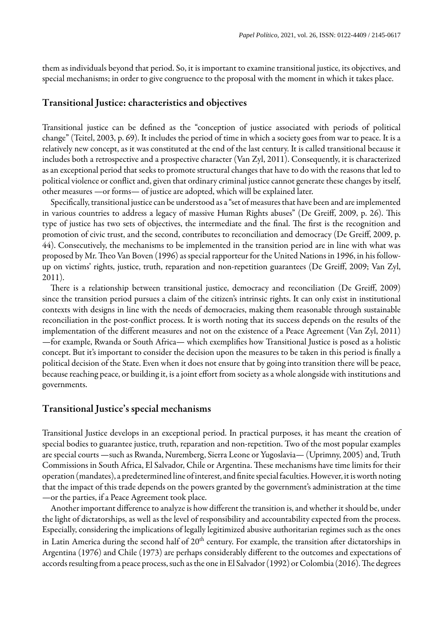them as individuals beyond that period. So, it is important to examine transitional justice, its objectives, and special mechanisms; in order to give congruence to the proposal with the moment in which it takes place.

#### Transitional Justice: characteristics and objectives

Transitional justice can be defined as the "conception of justice associated with periods of political change" [\(Teitel,](#page-11-5) 2003, p. 69). It includes the period of time in which a society goes from war to peace. It is a relatively new concept, as it was constituted at the end of the last century. It is called transitional because it includes both a retrospective and a prospective character (Van Zyl, [2011](#page-11-6)). Consequently, it is characterized as an exceptional period that seeks to promote structural changes that have to do with the reasons that led to political violence or conflict and, given that ordinary criminal justice cannot generate these changes by itself, other measures —or forms— of justice are adopted, which will be explained later.

Specifically, transitional justice can be understood as a "set of measures that have been and are implemented in various countries to address a legacy of massive Human Rights abuses" (De [Greiff,](#page-10-13) 2009, p. 26). This type of justice has two sets of objectives, the intermediate and the final. The first is the recognition and promotion of civic trust, and the second, contributes to reconciliation and democracy (De [Greiff,](#page-10-13) 2009, p. 44). Consecutively, the mechanisms to be implemented in the transition period are in line with what was proposed by Mr. Theo Van Boven [\(1996\)](#page-11-7) as special rapporteur for the United Nations in 1996, in his followup on victims' rights, justice, truth, reparation and non-repetition guarantees (De [Greiff,](#page-10-13) 2009; Van [Zyl,](#page-11-6) [2011](#page-11-6)).

There is a relationship between transitional justice, democracy and reconciliation (De [Greiff,](#page-10-13) 2009) since the transition period pursues a claim of the citizen's intrinsic rights. It can only exist in institutional contexts with designs in line with the needs of democracies, making them reasonable through sustainable reconciliation in the post-conflict process. It is worth noting that its success depends on the results of the implementation of the different measures and not on the existence of a Peace Agreement (Van Zyl, [2011](#page-11-6)) —for example, Rwanda or South Africa— which exemplifies how Transitional Justice is posed as a holistic concept. But it's important to consider the decision upon the measures to be taken in this period is finally a political decision of the State. Even when it does not ensure that by going into transition there will be peace, because reaching peace, or building it, is a joint effort from society as a whole alongside with institutions and governments.

#### Transitional Justice's special mechanisms

Transitional Justice develops in an exceptional period. In practical purposes, it has meant the creation of special bodies to guarantee justice, truth, reparation and non-repetition. Two of the most popular examples are special courts —such as Rwanda, Nuremberg, Sierra Leone or Yugoslavia— [\(Uprimny,](#page-11-1) 2005) and, Truth Commissions in South Africa, El Salvador, Chile or Argentina. These mechanisms have time limits for their operation (mandates), a predetermined line of interest, and finite special faculties. However, it is worth noting that the impact of this trade depends on the powers granted by the government's administration at the time —or the parties, if a Peace Agreement took place.

Another important difference to analyze is how different the transition is, and whether it should be, under the light of dictatorships, as well as the level of responsibility and accountability expected from the process. Especially, considering the implications of legally legitimized abusive authoritarian regimes such as the ones in Latin America during the second half of 20 $^{\rm th}$  century. For example, the transition after dictatorships in Argentina (1976) and Chile (1973) are perhaps considerably different to the outcomes and expectations of accords resulting from a peace process, such as the one in El Salvador (1992) or Colombia (2016). The degrees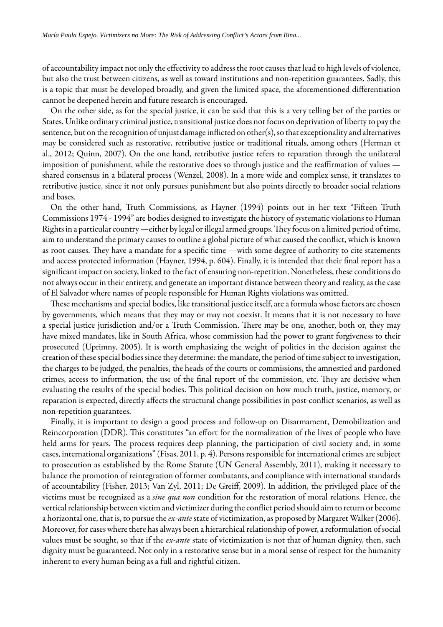of accountability impact not only the effectivity to address the root causes that lead to high levels of violence, but also the trust between citizens, as well as toward institutions and non-repetition guarantees. Sadly, this is a topic that must be developed broadly, and given the limited space, the aforementioned differentiation cannot be deepened herein and future research is encouraged.

On the other side, as for the special justice, it can be said that this is a very telling bet of the parties or States. Unlike ordinary criminal justice, transitional justice does not focus on deprivation of liberty to pay the sentence, but on the recognition of unjust damage inflicted on other(s), so that exceptionality and alternatives may be considered such as restorative, retributive justice or traditional rituals, among others [\(Herman](#page-11-8) et al., [2012;](#page-11-8) [Quinn,](#page-11-9) 2007). On the one hand, retributive justice refers to reparation through the unilateral imposition of punishment, while the restorative does so through justice and the reaffirmation of values shared consensus in a bilateral process ([Wenzel,](#page-12-1) 2008). In a more wide and complex sense, it translates to retributive justice, since it not only pursues punishment but also points directly to broader social relations and bases.

On the other hand, Truth Commissions, as [Hayner](#page-11-10) (1994) points out in her text "Fifteen Truth Commissions 1974 - 1994" are bodies designed to investigate the history of systematic violations to Human Rights in a particular country —either by legal or illegal armed groups. They focus on a limited period of time, aim to understand the primary causes to outline a global picture of what caused the conflict, which is known as root causes. They have a mandate for a specific time —with some degree of authority to cite statements and access protected information ([Hayner,](#page-11-10) 1994, p. 604). Finally, it is intended that their final report has a significant impact on society, linked to the fact of ensuring non-repetition. Nonetheless, these conditions do not always occur in their entirety, and generate an important distance between theory and reality, as the case of El Salvador where names of people responsible for Human Rights violations was omitted.

These mechanisms and special bodies, like transitional justice itself, are a formula whose factors are chosen by governments, which means that they may or may not coexist. It means that it is not necessary to have a special justice jurisdiction and/or a Truth Commission. There may be one, another, both or, they may have mixed mandates, like in South Africa, whose commission had the power to grant forgiveness to their prosecuted [\(Uprimny,](#page-11-1) 2005). It is worth emphasizing the weight of politics in the decision against the creation of these special bodies since they determine: the mandate, the period of time subject to investigation, the charges to be judged, the penalties, the heads of the courts or commissions, the amnestied and pardoned crimes, access to information, the use of the final report of the commission, etc. They are decisive when evaluating the results of the special bodies. This political decision on how much truth, justice, memory, or reparation is expected, directly affects the structural change possibilities in post-conflict scenarios, as well as non-repetition guarantees.

Finally, it is important to design a good process and follow-up on Disarmament, Demobilization and Reincorporation (DDR). This constitutes "an effort for the normalization of the lives of people who have held arms for years. The process requires deep planning, the participation of civil society and, in some cases, international organizations" [\(Fisas,](#page-10-14) 2011, p. 4). Persons responsible for international crimes are subject to prosecution as established by the Rome Statute (UN General [Assembly,](#page-11-11) 2011), making it necessary to balance the promotion of reintegration of former combatants, and compliance with international standards of accountability ([Fisher,](#page-10-7) 2013; Van Zyl, [2011](#page-11-6); De [Greiff,](#page-10-13) 2009). In addition, the privileged place of the victims must be recognized as a *sine qua non* condition for the restoration of moral relations. Hence, the vertical relationship between victim and victimizer during the conflict period should aim to return or become a horizontal one, that is, to pursue the *ex-ante* state of victimization, as proposed by Margaret [Walker](#page-11-12) (2006). Moreover, for cases where there has always been a hierarchical relationship of power, a reformulation of social values must be sought, so that if the *ex-ante* state of victimization is not that of human dignity, then, such dignity must be guaranteed. Not only in a restorative sense but in a moral sense of respect for the humanity inherent to every human being as a full and rightful citizen.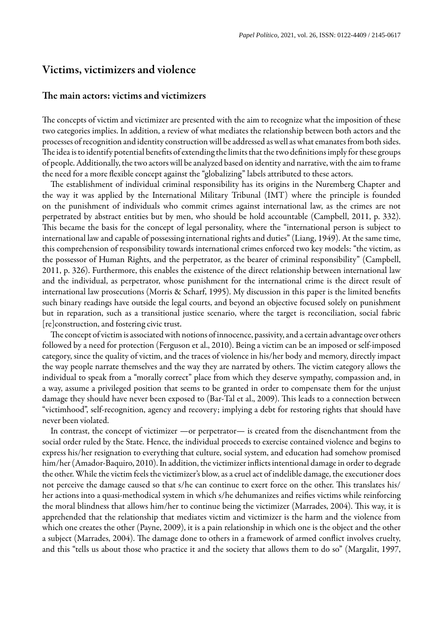## Victims, victimizers and violence

#### The main actors: victims and victimizers

The concepts of victim and victimizer are presented with the aim to recognize what the imposition of these two categories implies. In addition, a review of what mediates the relationship between both actors and the processes of recognition and identity construction will be addressed as well as what emanates from both sides. The idea is to identify potential benefits of extending the limits that the two definitions imply for these groups of people. Additionally, the two actors will be analyzed based on identity and narrative, with the aim to frame the need for a more flexible concept against the "globalizing" labels attributed to these actors.

The establishment of individual criminal responsibility has its origins in the Nuremberg Chapter and the way it was applied by the International Military Tribunal (IMT) where the principle is founded on the punishment of individuals who commit crimes against international law, as the crimes are not perpetrated by abstract entities but by men, who should be hold accountable ([Campbell,](#page-10-2) 2011, p. 332). This became the basis for the concept of legal personality, where the "international person is subject to international law and capable of possessing international rights and duties" [\(Liang,](#page-11-13) 1949). At the same time, this comprehension of responsibility towards international crimes enforced two key models: "the victim, as the possessor of Human Rights, and the perpetrator, as the bearer of criminal responsibility" [\(Campbell,](#page-10-2) [2011](#page-10-2), p. 326). Furthermore, this enables the existence of the direct relationship between international law and the individual, as perpetrator, whose punishment for the international crime is the direct result of international law prosecutions (Morris & [Scharf,](#page-11-14) 1995). My discussion in this paper is the limited benefits such binary readings have outside the legal courts, and beyond an objective focused solely on punishment but in reparation, such as a transitional justice scenario, where the target is reconciliation, social fabric [re]construction, and fostering civic trust.

The concept of victim is associated with notions of innocence, passivity, and a certain advantage over others followed by a need for protection ([Ferguson](#page-10-15) et al., 2010). Being a victim can be an imposed or self-imposed category, since the quality of victim, and the traces of violence in his/her body and memory, directly impact the way people narrate themselves and the way they are narrated by others. The victim category allows the individual to speak from a "morally correct" place from which they deserve sympathy, compassion and, in a way, assume a privileged position that seems to be granted in order to compensate them for the unjust damage they should have never been exposed to ([Bar-Tal](#page-10-16) et al., 2009). This leads to a connection between "victimhood", self-recognition, agency and recovery; implying a debt for restoring rights that should have never been violated.

In contrast, the concept of victimizer —or perpetrator— is created from the disenchantment from the social order ruled by the State. Hence, the individual proceeds to exercise contained violence and begins to express his/her resignation to everything that culture, social system, and education had somehow promised him/her ([Amador-Baquiro,](#page-10-17) 2010). In addition, the victimizer inflicts intentional damage in order to degrade the other. While the victim feels the victimizer's blow, as a cruel act of indelible damage, the executioner does not perceive the damage caused so that s/he can continue to exert force on the other. This translates his/ her actions into a quasi-methodical system in which s/he dehumanizes and reifies victims while reinforcing the moral blindness that allows him/her to continue being the victimizer [\(Marrades,](#page-11-15) 2004). This way, it is apprehended that the relationship that mediates victim and victimizer is the harm and the violence from which one creates the other ([Payne,](#page-11-16) 2009), it is a pain relationship in which one is the object and the other a subject ([Marrades,](#page-11-15) 2004). The damage done to others in a framework of armed conflict involves cruelty, and this "tells us about those who practice it and the society that allows them to do so" ([Margalit,](#page-11-17) 1997,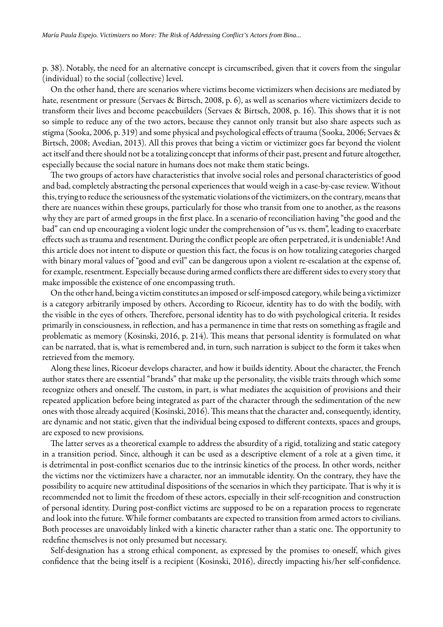p. 38). Notably, the need for an alternative concept is circumscribed, given that it covers from the singular (individual) to the social (collective) level.

On the other hand, there are scenarios where victims become victimizers when decisions are mediated by hate, resentment or pressure (Servaes & [Birtsch,](#page-11-18) 2008, p. 6), as well as scenarios where victimizers decide to transform their lives and become peacebuilders (Servaes & [Birtsch,](#page-11-18) 2008, p. 16). This shows that it is not so simple to reduce any of the two actors, because they cannot only transit but also share aspects such as stigma [\(Sooka,](#page-11-19) 2006, p. 319) and some physical and psychological effects of trauma ([Sooka,](#page-11-19) 2006; [Servaes](#page-11-18) & [Birtsch,](#page-11-18) 2008; [Avedian,](#page-10-18) 2013). All this proves that being a victim or victimizer goes far beyond the violent act itself and there should not be a totalizing concept that informs of their past, present and future altogether, especially because the social nature in humans does not make them static beings.

The two groups of actors have characteristics that involve social roles and personal characteristics of good and bad, completely abstracting the personal experiences that would weigh in a case-by-case review. Without this, trying to reduce the seriousness of the systematic violations of the victimizers, on the contrary, means that there are nuances within these groups, particularly for those who transit from one to another, as the reasons why they are part of armed groups in the first place. In a scenario of reconciliation having "the good and the bad" can end up encouraging a violent logic under the comprehension of "us vs. them", leading to exacerbate effects such as trauma and resentment. During the conflict people are often perpetrated, it is undeniable! And this article does not intent to dispute or question this fact, the focus is on how totalizing categories charged with binary moral values of "good and evil" can be dangerous upon a violent re-escalation at the expense of, for example, resentment. Especially because during armed conflicts there are different sides to every story that make impossible the existence of one encompassing truth.

On the other hand, being a victim constitutes an imposed or self-imposed category, while being a victimizer is a category arbitrarily imposed by others. According to Ricoeur, identity has to do with the bodily, with the visible in the eyes of others. Therefore, personal identity has to do with psychological criteria. It resides primarily in consciousness, in reflection, and has a permanence in time that rests on something as fragile and problematic as memory ([Kosinski,](#page-11-20) 2016, p. 214). This means that personal identity is formulated on what can be narrated, that is, what is remembered and, in turn, such narration is subject to the form it takes when retrieved from the memory.

Along these lines, Ricoeur develops character, and how it builds identity. About the character, the French author states there are essential "brands" that make up the personality, the visible traits through which some recognize others and oneself. The custom, in part, is what mediates the acquisition of provisions and their repeated application before being integrated as part of the character through the sedimentation of the new ones with those already acquired ([Kosinski,](#page-11-20) 2016). This means that the character and, consequently, identity, are dynamic and not static, given that the individual being exposed to different contexts, spaces and groups, are exposed to new provisions.

The latter serves as a theoretical example to address the absurdity of a rigid, totalizing and static category in a transition period. Since, although it can be used as a descriptive element of a role at a given time, it is detrimental in post-conflict scenarios due to the intrinsic kinetics of the process. In other words, neither the victims nor the victimizers have a character, nor an immutable identity. On the contrary, they have the possibility to acquire new attitudinal dispositions of the scenarios in which they participate. That is why it is recommended not to limit the freedom of these actors, especially in their self-recognition and construction of personal identity. During post-conflict victims are supposed to be on a reparation process to regenerate and look into the future. While former combatants are expected to transition from armed actors to civilians. Both processes are unavoidably linked with a kinetic character rather than a static one. The opportunity to redefine themselves is not only presumed but necessary.

Self-designation has a strong ethical component, as expressed by the promises to oneself, which gives confidence that the being itself is a recipient ([Kosinski,](#page-11-20) 2016), directly impacting his/her self-confidence.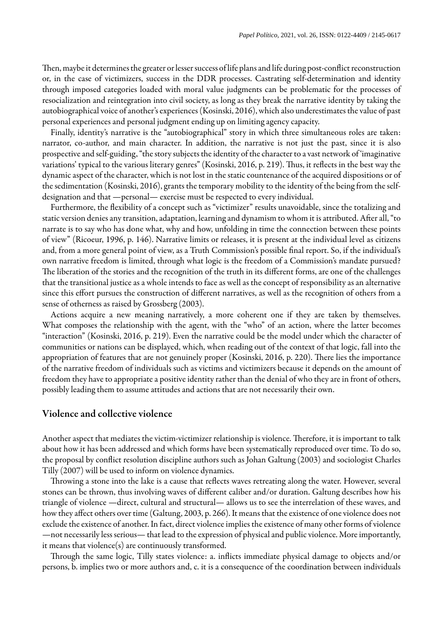Then, maybe it determines the greater or lesser success of life plans and life during post-conflict reconstruction or, in the case of victimizers, success in the DDR processes. Castrating self-determination and identity through imposed categories loaded with moral value judgments can be problematic for the processes of resocialization and reintegration into civil society, as long as they break the narrative identity by taking the autobiographical voice of another's experiences [\(Kosinski,](#page-11-20) 2016), which also underestimates the value of past personal experiences and personal judgment ending up on limiting agency capacity.

Finally, identity's narrative is the "autobiographical" story in which three simultaneous roles are taken: narrator, co-author, and main character. In addition, the narrative is not just the past, since it is also prospective and self-guiding, "the story subjects the identity of the character to a vast network of 'imaginative variations' typical to the various literary genres" [\(Kosinski,](#page-11-20) 2016, p. 219). Thus, it reflects in the best way the dynamic aspect of the character, which is not lost in the static countenance of the acquired dispositions or of the sedimentation [\(Kosinski,](#page-11-20) 2016), grants the temporary mobility to the identity of the being from the selfdesignation and that —personal— exercise must be respected to every individual.

Furthermore, the flexibility of a concept such as "victimizer" results unavoidable, since the totalizing and static version denies any transition, adaptation, learning and dynamism to whom it is attributed. After all, "to narrate is to say who has done what, why and how, unfolding in time the connection between these points of view" [\(Ricoeur,](#page-11-21) 1996, p. 146). Narrative limits or releases, it is present at the individual level as citizens and, from a more general point of view, as a Truth Commission's possible final report. So, if the individual's own narrative freedom is limited, through what logic is the freedom of a Commission's mandate pursued? The liberation of the stories and the recognition of the truth in its different forms, are one of the challenges that the transitional justice as a whole intends to face as well as the concept of responsibility as an alternative since this effort pursues the construction of different narratives, as well as the recognition of others from a sense of otherness as raised by [Grossberg](#page-10-19) (2003).

Actions acquire a new meaning narratively, a more coherent one if they are taken by themselves. What composes the relationship with the agent, with the "who" of an action, where the latter becomes "interaction" [\(Kosinski,](#page-11-20) 2016, p. 219). Even the narrative could be the model under which the character of communities or nations can be displayed, which, when reading out of the context of that logic, fall into the appropriation of features that are not genuinely proper ([Kosinski,](#page-11-20) 2016, p. 220). There lies the importance of the narrative freedom of individuals such as victims and victimizers because it depends on the amount of freedom they have to appropriate a positive identity rather than the denial of who they are in front of others, possibly leading them to assume attitudes and actions that are not necessarily their own.

#### Violence and collective violence

Another aspect that mediates the victim-victimizer relationship is violence. Therefore, it is important to talk about how it has been addressed and which forms have been systematically reproduced over time. To do so, the proposal by conflict resolution discipline authors such as Johan [Galtung](#page-10-20) (2003) and sociologist Charles Tilly [\(2007\)](#page-11-22) will be used to inform on violence dynamics.

Throwing a stone into the lake is a cause that reflects waves retreating along the water. However, several stones can be thrown, thus involving waves of different caliber and/or duration. Galtung describes how his triangle of violence —direct, cultural and structural— allows us to see the interrelation of these waves, and how they affect others over time [\(Galtung,](#page-10-20) 2003, p. 266). It means that the existence of one violence does not exclude the existence of another. In fact, direct violence implies the existence of many other forms of violence —not necessarily less serious— that lead to the expression of physical and public violence. More importantly, it means that violence(s) are continuously transformed.

Through the same logic, Tilly states violence: a. inflicts immediate physical damage to objects and/or persons, b. implies two or more authors and, c. it is a consequence of the coordination between individuals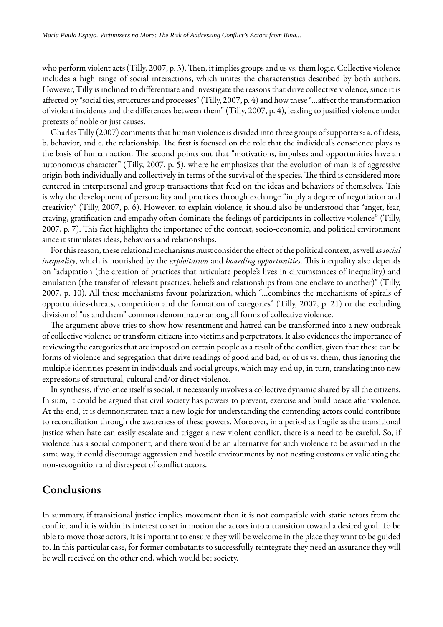who perform violent acts [\(Tilly,](#page-11-22) 2007, p. 3). Then, it implies groups and us vs. them logic. Collective violence includes a high range of social interactions, which unites the characteristics described by both authors. However, Tilly is inclined to differentiate and investigate the reasons that drive collective violence, since it is affected by "social ties, structures and processes" [\(Tilly,](#page-11-22) 2007, p. 4) and how these "...affect the transformation of violent incidents and the differences between them" [\(Tilly,](#page-11-22) 2007, p. 4), leading to justified violence under pretexts of noble or just causes.

Charles Tilly [\(2007\)](#page-11-22) comments that human violence is divided into three groups of supporters: a. of ideas, b. behavior, and c. the relationship. The first is focused on the role that the individual's conscience plays as the basis of human action. The second points out that "motivations, impulses and opportunities have an autonomous character" ([Tilly,](#page-11-22) 2007, p. 5), where he emphasizes that the evolution of man is of aggressive origin both individually and collectively in terms of the survival of the species. The third is considered more centered in interpersonal and group transactions that feed on the ideas and behaviors of themselves. This is why the development of personality and practices through exchange "imply a degree of negotiation and creativity" [\(Tilly,](#page-11-22) 2007, p. 6). However, to explain violence, it should also be understood that "anger, fear, craving, gratification and empathy often dominate the feelings of participants in collective violence" ([Tilly,](#page-11-22) [2007](#page-11-22), p. 7). This fact highlights the importance of the context, socio-economic, and political environment since it stimulates ideas, behaviors and relationships.

For this reason, these relational mechanisms must consider the effect of the political context, as well as *social inequality*, which is nourished by the *exploitation* and *hoarding opportunities*. This inequality also depends on "adaptation (the creation of practices that articulate people's lives in circumstances of inequality) and emulation (the transfer of relevant practices, beliefs and relationships from one enclave to another)" ([Tilly,](#page-11-22) [2007](#page-11-22), p. 10). All these mechanisms favour polarization, which "…combines the mechanisms of spirals of opportunities-threats, competition and the formation of categories" [\(Tilly,](#page-11-22) 2007, p. 21) or the excluding division of "us and them" common denominator among all forms of collective violence.

The argument above tries to show how resentment and hatred can be transformed into a new outbreak of collective violence or transform citizens into victims and perpetrators. It also evidences the importance of reviewing the categories that are imposed on certain people as a result of the conflict, given that these can be forms of violence and segregation that drive readings of good and bad, or of us vs. them, thus ignoring the multiple identities present in individuals and social groups, which may end up, in turn, translating into new expressions of structural, cultural and/or direct violence.

In synthesis, if violence itself is social, it necessarily involves a collective dynamic shared by all the citizens. In sum, it could be argued that civil society has powers to prevent, exercise and build peace after violence. At the end, it is demnonstrated that a new logic for understanding the contending actors could contribute to reconciliation through the awareness of these powers. Moreover, in a period as fragile as the transitional justice when hate can easily escalate and trigger a new violent conflict, there is a need to be careful. So, if violence has a social component, and there would be an alternative for such violence to be assumed in the same way, it could discourage aggression and hostile environments by not nesting customs or validating the non-recognition and disrespect of conflict actors.

## Conclusions

In summary, if transitional justice implies movement then it is not compatible with static actors from the conflict and it is within its interest to set in motion the actors into a transition toward a desired goal. To be able to move those actors, it is important to ensure they will be welcome in the place they want to be guided to. In this particular case, for former combatants to successfully reintegrate they need an assurance they will be well received on the other end, which would be: society.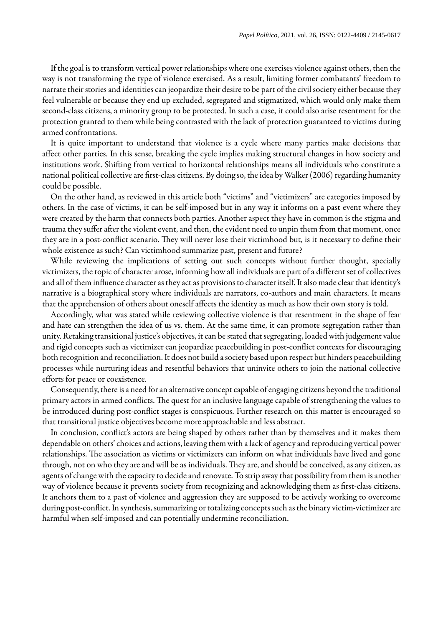If the goal is to transform vertical power relationships where one exercises violence against others, then the way is not transforming the type of violence exercised. As a result, limiting former combatants' freedom to narrate their stories and identities can jeopardize their desire to be part of the civil society either because they feel vulnerable or because they end up excluded, segregated and stigmatized, which would only make them second-class citizens, a minority group to be protected. In such a case, it could also arise resentment for the protection granted to them while being contrasted with the lack of protection guaranteed to victims during armed confrontations.

It is quite important to understand that violence is a cycle where many parties make decisions that affect other parties. In this sense, breaking the cycle implies making structural changes in how society and institutions work. Shifting from vertical to horizontal relationships means all individuals who constitute a national political collective are first-class citizens. By doing so, the idea by Walker (2006) regarding humanity could be possible.

On the other hand, as reviewed in this article both "victims" and "victimizers" are categories imposed by others. In the case of victims, it can be self-imposed but in any way it informs on a past event where they were created by the harm that connects both parties. Another aspect they have in common is the stigma and trauma they suffer after the violent event, and then, the evident need to unpin them from that moment, once they are in a post-conflict scenario. They will never lose their victimhood but, is it necessary to define their whole existence as such? Can victimhood summarize past, present and future?

While reviewing the implications of setting out such concepts without further thought, specially victimizers, the topic of character arose, informing how all individuals are part of a different set of collectives and all of them influence character as they act as provisions to character itself. It also made clear that identity's narrative is a biographical story where individuals are narrators, co-authors and main characters. It means that the apprehension of others about oneself affects the identity as much as how their own story is told.

Accordingly, what was stated while reviewing collective violence is that resentment in the shape of fear and hate can strengthen the idea of us vs. them. At the same time, it can promote segregation rather than unity. Retaking transitional justice's objectives, it can be stated that segregating, loaded with judgement value and rigid concepts such as victimizer can jeopardize peacebuilding in post-conflict contexts for discouraging both recognition and reconciliation. It does not build a society based upon respect but hinders peacebuilding processes while nurturing ideas and resentful behaviors that uninvite others to join the national collective efforts for peace or coexistence.

Consequently, there is a need for an alternative concept capable of engaging citizens beyond the traditional primary actors in armed conflicts. The quest for an inclusive language capable of strengthening the values to be introduced during post-conflict stages is conspicuous. Further research on this matter is encouraged so that transitional justice objectives become more approachable and less abstract.

In conclusion, conflict's actors are being shaped by others rather than by themselves and it makes them dependable on others' choices and actions, leaving them with a lack of agency and reproducing vertical power relationships. The association as victims or victimizers can inform on what individuals have lived and gone through, not on who they are and will be as individuals. They are, and should be conceived, as any citizen, as agents of change with the capacity to decide and renovate. To strip away that possibility from them is another way of violence because it prevents society from recognizing and acknowledging them as first-class citizens. It anchors them to a past of violence and aggression they are supposed to be actively working to overcome during post-conflict. In synthesis, summarizing or totalizing concepts such as the binary victim-victimizer are harmful when self-imposed and can potentially undermine reconciliation.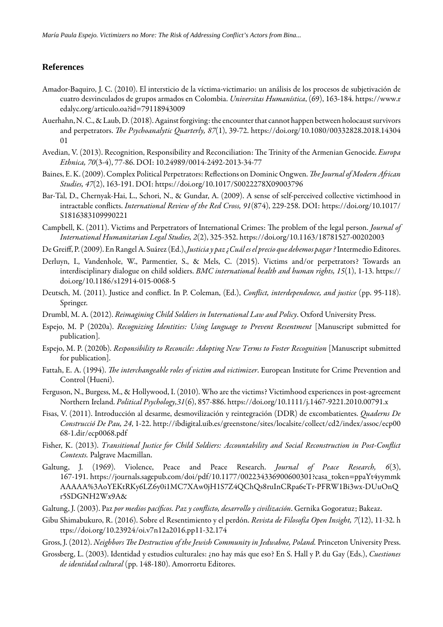#### **References**

- <span id="page-10-17"></span>Amador-Baquiro, J. C. (2010). El intersticio de la víctima-victimario: un análisis de los procesos de subjetivación de cuatro desvinculados de grupos armados en Colombia. *Universitas Humanística*, (69), 163-184. [https://www.r](https://www.redalyc.org/articulo.oa?id=79118943009) [edalyc.org/articulo.oa?id=79118943009](https://www.redalyc.org/articulo.oa?id=79118943009)
- <span id="page-10-6"></span>Auerhahn, N. C., & Laub, D. (2018). Against forgiving: the encounter that cannot happen between holocaust survivors and perpetrators. *The Psychoanalytic Quarterly, 87*(1), 39-72. [https://doi.org/10.1080/00332828.2018.14304](https://doi.org/10.1080/00332828.2018.1430401) [01](https://doi.org/10.1080/00332828.2018.1430401)
- <span id="page-10-18"></span>Avedian, V. (2013). Recognition, Responsibility and Reconciliation: The Trinity of the Armenian Genocide. *Europa Ethnica, 70*(3-4), 77-86. DOI: 10.24989/0014-2492-2013-34-77
- <span id="page-10-9"></span>Baines, E.K. (2009). Complex Political Perpetrators: Reflections on Dominic Ongwen. The Journal of Modern African *Studies, 47*(2), 163-191. DOI: <https://doi.org/10.1017/S0022278X09003796>
- <span id="page-10-16"></span>Bar-Tal, D., Chernyak-Hai, L., Schori, N., & Gundar, A. (2009). A sense of self-perceived collective victimhood in intractable conflicts. *International Review of the Red Cross*, 91(874), 229-258. DOI: [https://doi.org/10.1017/](https://doi.org/10.1017/S1816383109990221) [S1816383109990221](https://doi.org/10.1017/S1816383109990221)
- <span id="page-10-2"></span>Campbell, K. (2011). Victims and Perpetrators of International Crimes: The problem of the legal person. *Journal of International Humanitarian Legal Studies, 2*(2), 325-352.<https://doi.org/10.1163/18781527-00202003>
- <span id="page-10-13"></span>De Greiff, P.(2009). EnRangelA. Suárez(Ed.),*Justicia y paz ¿Cuál es el precio que debemos pagar ?*Intermedio Editores.
- <span id="page-10-8"></span>Derluyn, I., Vandenhole, W., Parmentier, S., & Mels, C. (2015). Victims and/or perpetrators? Towards an interdisciplinary dialogue on child soldiers. *BMC international health and human rights, 15*(1), 1-13. [https://](https://doi.org/10.1186/s12914-015-0068-5) [doi.org/10.1186/s12914-015-0068-5](https://doi.org/10.1186/s12914-015-0068-5)
- <span id="page-10-5"></span>Deutsch, M. (2011). Justice and conflict. In P. Coleman, (Ed.), *Conflict, interdependence, and justice* (pp. 95-118). Springer.
- <span id="page-10-1"></span>Drumbl, M. A. (2012). *Reimagining Child Soldiers in International Law and Policy*. Oxford University Press.
- <span id="page-10-10"></span>Espejo, M. P (2020a). *Recognizing Identities: Using language to Prevent Resentment* [Manuscript submitted for publication].
- <span id="page-10-11"></span>Espejo, M. P. (2020b). *Responsibility to Reconcile: Adopting New Terms to Foster Recognition* [Manuscript submitted for publication].
- <span id="page-10-3"></span>Fattah, E. A. (1994). *The interchangeable roles of victim and victimizer*. European Institute for Crime Prevention and Control (Hueni).
- <span id="page-10-15"></span>Ferguson, N., Burgess, M., & Hollywood, I. (2010). Who are the victims? Victimhood experiences in post-agreement Northern Ireland. *Political Psychology,31*(6), 857-886. <https://doi.org/10.1111/j.1467-9221.2010.00791.x>
- <span id="page-10-14"></span>Fisas, V. (2011). Introducción al desarme, desmovilización y reintegración (DDR) de excombatientes. *Quaderns De Construcció De Pau, 24*, 1-22. [http://ibdigital.uib.es/greenstone/sites/localsite/collect/cd2/index/assoc/ecp00](http://ibdigital.uib.es/greenstone/sites/localsite/collect/cd2/index/assoc/ecp0068-1.dir/ecp0068.pdf) [68-1.dir/ecp0068.pdf](http://ibdigital.uib.es/greenstone/sites/localsite/collect/cd2/index/assoc/ecp0068-1.dir/ecp0068.pdf)
- <span id="page-10-7"></span>Fisher, K. (2013). *Transitional Justice for Child Soldiers: Accountability and Social Reconstruction in Post-Conflict Contexts.* Palgrave Macmillan.
- <span id="page-10-0"></span>Galtung, J. (1969). Violence, Peace and Peace Research. *Journal of Peace Research, 6*(3), 167-191. [https://journals.sagepub.com/doi/pdf/10.1177/002234336900600301?casa\\_token=ppaYt4yymmk](https://journals.sagepub.com/doi/pdf/10.1177/002234336900600301?casa_token=ppaYt4yymmkAAAAA%3AoYEKtRKy6LZ6y0i1MC7XAw0jH1S7Z4QChQs8ruInCRpa6eTr-PFRW1Bi3wx-DUuOnQr5SDGNH2Wx9A) [AAAAA%3AoYEKtRKy6LZ6y0i1MC7XAw0jH1S7Z4QChQs8ruInCRpa6eTr-PFRW1Bi3wx-DUuOnQ](https://journals.sagepub.com/doi/pdf/10.1177/002234336900600301?casa_token=ppaYt4yymmkAAAAA%3AoYEKtRKy6LZ6y0i1MC7XAw0jH1S7Z4QChQs8ruInCRpa6eTr-PFRW1Bi3wx-DUuOnQr5SDGNH2Wx9A) [r5SDGNH2Wx9A](https://journals.sagepub.com/doi/pdf/10.1177/002234336900600301?casa_token=ppaYt4yymmkAAAAA%3AoYEKtRKy6LZ6y0i1MC7XAw0jH1S7Z4QChQs8ruInCRpa6eTr-PFRW1Bi3wx-DUuOnQr5SDGNH2Wx9A)&
- <span id="page-10-20"></span>Galtung, J. (2003). Paz *por medios pacíficos. Paz y conflicto, desarrollo y civilización*. Gernika Gogoratuz; Bakeaz.
- <span id="page-10-12"></span>Gibu Shimabukuro, R. (2016). Sobre el Resentimiento y el perdón. *Revista de Filosofía Open Insight, 7*(12), 11-32. [h](https://doi.org/10.23924/oi.v7n12a2016.pp11-32.174) [ttps://doi.org/10.23924/oi.v7n12a2016.pp11-32.174](https://doi.org/10.23924/oi.v7n12a2016.pp11-32.174)
- <span id="page-10-4"></span>Gross, J. (2012). *Neighbors The Destruction of the Jewish Community in Jedwabne, Poland*. Princeton University Press.
- <span id="page-10-19"></span>Grossberg, L. (2003). Identidad y estudios culturales: ¿no hay más que eso? En S. Hall y P. du Gay (Eds.), *Cuestiones de identidad cultural* (pp. 148-180). Amorrortu Editores.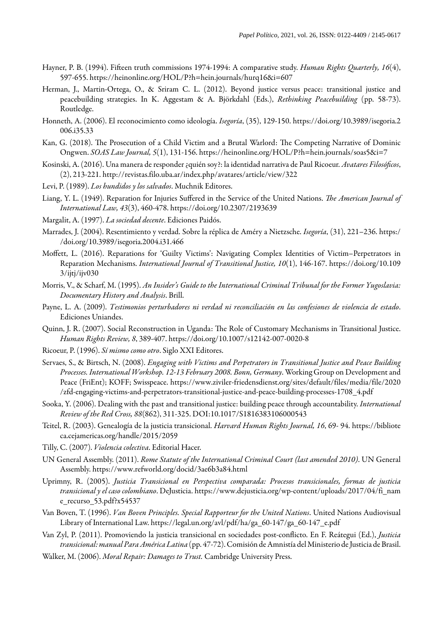- <span id="page-11-10"></span>Hayner, P. B. (1994). Fifteen truth commissions 1974-1994: A comparative study. *Human Rights Quarterly, 16*(4), 597-655. <https://heinonline.org/HOL/P?h=hein.journals/hurq16&i=607>
- <span id="page-11-8"></span>Herman, J., Martin-Ortega, O., & Sriram C. L. (2012). Beyond justice versus peace: transitional justice and peacebuilding strategies. In K. Aggestam & A. Björkdahl (Eds.), *Rethinking Peacebuilding* (pp. 58-73). Routledge.
- <span id="page-11-4"></span>Honneth, A. (2006). El reconocimiento como ideología. *Isegoría*, (35), 129-150. [https://doi.org/10.3989/isegoria.2](https://doi.org/10.3989/isegoria.2006.i35.33) [006.i35.33](https://doi.org/10.3989/isegoria.2006.i35.33)
- <span id="page-11-3"></span>Kan, G. (2018). The Prosecution of a Child Victim and a Brutal Warlord: The Competing Narrative of Dominic Ongwen. *SOAS Law Journal, 5*(1), 131-156. <https://heinonline.org/HOL/P?h=hein.journals/soas5&i=7>
- <span id="page-11-20"></span>Kosinski, A. (2016). Una manera deresponder ¿quién soy?: laidentidad narrativa de Paul Ricoeur. *Avatares Filosóficos*, (2), 213-221. <http://revistas.filo.uba.ar/index.php/avatares/article/view/322>
- <span id="page-11-0"></span>Levi, P. (1989). *Los hundidos y los salvados*. Muchnik Editores.
- <span id="page-11-13"></span>Liang, Y. L. (1949). Reparation for Injuries Suffered in the Service of the United Nations. *The American Journal of International Law, 43*(3), 460-478. <https://doi.org/10.2307/2193639>
- <span id="page-11-17"></span>Margalit, A. (1997). *La sociedad decente*. Ediciones Paidós.
- <span id="page-11-15"></span>Marrades, J. (2004). Resentimiento y verdad. Sobre la réplica de Améry a Nietzsche. *Isegoría*, (31), 221–236. [https:/](https://doi.org/10.3989/isegoria.2004.i31.466) [/doi.org/10.3989/isegoria.2004.i31.466](https://doi.org/10.3989/isegoria.2004.i31.466)
- <span id="page-11-2"></span>Moffett, L. (2016). Reparations for 'Guilty Victims': Navigating Complex Identities of Victim–Perpetrators in Reparation Mechanisms. *International Journal of Transitional Justice, 10*(1), 146-167. [https://doi.org/10.109](https://doi.org/10.1093/ijtj/ijv030) [3/ijtj/ijv030](https://doi.org/10.1093/ijtj/ijv030)
- <span id="page-11-14"></span>Morris, V., & Scharf, M. (1995). *An Insider's Guide to the International Criminal Tribunal for the Former Yugoslavia: Documentary History and Analysis*. Brill.
- <span id="page-11-16"></span>Payne, L. A. (2009). *Testimonios perturbadores ni verdad ni reconciliación en las confesiones de violencia de estado*. Ediciones Uniandes.
- <span id="page-11-9"></span>Quinn, J. R. (2007). Social Reconstruction in Uganda: The Role of Customary Mechanisms in Transitional Justice. *Human Rights Review, 8*, 389-407. <https://doi.org/10.1007/s12142-007-0020-8>
- <span id="page-11-21"></span>Ricoeur, P. (1996). *Sí mismo como otro*. Siglo XXI Editores.
- <span id="page-11-18"></span>Servaes, S., & Birtsch, N. (2008). *Engaging with Victims and Perpetrators in Transitional Justice and Peace Building Processes. International Workshop. 12-13 February 2008. Bonn, Germany*. Working Group on Developmentand Peace (FriEnt); KOFF; Swisspeace. [https://www.ziviler-friedensdienst.org/sites/default/files/media/file/2020](https://www.ziviler-friedensdienst.org/sites/default/files/media/file/2020/zfd-engaging-victims-and-perpetrators-transitional-justice-and-peace-building-processes-1708_4.pdf) [/zfd-engaging-victims-and-perpetrators-transitional-justice-and-peace-building-processes-1708\\_4.pdf](https://www.ziviler-friedensdienst.org/sites/default/files/media/file/2020/zfd-engaging-victims-and-perpetrators-transitional-justice-and-peace-building-processes-1708_4.pdf)
- <span id="page-11-19"></span>Sooka, Y. (2006). Dealing with the past and transitional justice: building peace through accountability. *International Review of the Red Cross, 88*(862), 311-325. DOI:10.1017/S1816383106000543
- <span id="page-11-5"></span>Teitel, R. (2003). Genealogía de la justicia transicional. *Harvard Human Rights Journal, 16*, 69- 94. [https://bibliote](https://biblioteca.cejamericas.org/handle/2015/2059) [ca.cejamericas.org/handle/2015/2059](https://biblioteca.cejamericas.org/handle/2015/2059)
- <span id="page-11-22"></span>Tilly, C. (2007). *Violencia colectiva*. Editorial Hacer.
- <span id="page-11-11"></span>UN General Assembly. (2011). *Rome Statute of the International Criminal Court (last amended 2010)*. UN General Assembly. <https://www.refworld.org/docid/3ae6b3a84.html>
- <span id="page-11-1"></span>Uprimny, R. (2005). *Justicia Transicional en Perspectiva comparada: Procesos transicionales, formas de justicia transicional y el caso colombiano*. DeJusticia. [https://www.dejusticia.org/wp-content/uploads/2017/04/fi\\_nam](https://www.dejusticia.org/wp-content/uploads/2017/04/fi_name_recurso_53.pdf?x54537) [e\\_recurso\\_53.pdf?x54537](https://www.dejusticia.org/wp-content/uploads/2017/04/fi_name_recurso_53.pdf?x54537)
- <span id="page-11-7"></span>Van Boven, T. (1996). *Van Boven Principles. Special Rapporteur for the United Nations*. United Nations Audiovisual Library of International Law. [https://legal.un.org/avl/pdf/ha/ga\\_60-147/ga\\_60-147\\_e.pdf](https://legal.un.org/avl/pdf/ha/ga_60-147/ga_60-147_e.pdf)
- <span id="page-11-6"></span>Van Zyl, P. (2011). Promoviendo la justicia transicional en sociedades post-conflicto. En F. Reátegui (Ed.), *Justicia transicional: manual Para América Latina* (pp. 47-72). Comisión de Amnistía del Ministerio de Justicia de Brasil.
- <span id="page-11-12"></span>Walker, M. (2006). *Moral Repair: Damages to Trust.* Cambridge University Press.